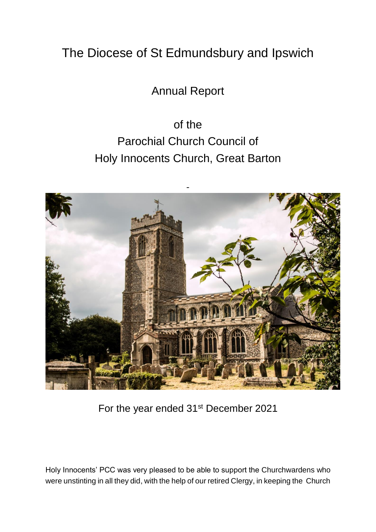## The Diocese of St Edmundsbury and Ipswich

Annual Report

of the Parochial Church Council of Holy Innocents Church, Great Barton



For the year ended 31<sup>st</sup> December 2021

Holy Innocents' PCC was very pleased to be able to support the Churchwardens who were unstinting in all they did, with the help of our retired Clergy, in keeping the Church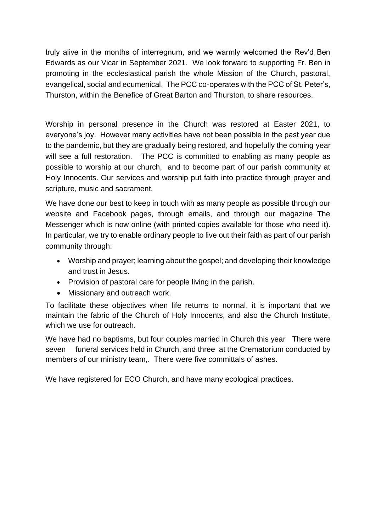truly alive in the months of interregnum, and we warmly welcomed the Rev'd Ben Edwards as our Vicar in September 2021. We look forward to supporting Fr. Ben in promoting in the ecclesiastical parish the whole Mission of the Church, pastoral, evangelical, social and ecumenical. The PCC co-operates with the PCC of St. Peter's, Thurston, within the Benefice of Great Barton and Thurston, to share resources.

Worship in personal presence in the Church was restored at Easter 2021, to everyone's joy. However many activities have not been possible in the past year due to the pandemic, but they are gradually being restored, and hopefully the coming year will see a full restoration. The PCC is committed to enabling as many people as possible to worship at our church, and to become part of our parish community at Holy Innocents. Our services and worship put faith into practice through prayer and scripture, music and sacrament.

We have done our best to keep in touch with as many people as possible through our website and Facebook pages, through emails, and through our magazine The Messenger which is now online (with printed copies available for those who need it). In particular, we try to enable ordinary people to live out their faith as part of our parish community through:

- Worship and prayer; learning about the gospel; and developing their knowledge and trust in Jesus.
- Provision of pastoral care for people living in the parish.
- Missionary and outreach work.

To facilitate these objectives when life returns to normal, it is important that we maintain the fabric of the Church of Holy Innocents, and also the Church Institute, which we use for outreach.

We have had no baptisms, but four couples married in Church this year There were seven funeral services held in Church, and three at the Crematorium conducted by members of our ministry team,. There were five committals of ashes.

We have registered for ECO Church, and have many ecological practices.